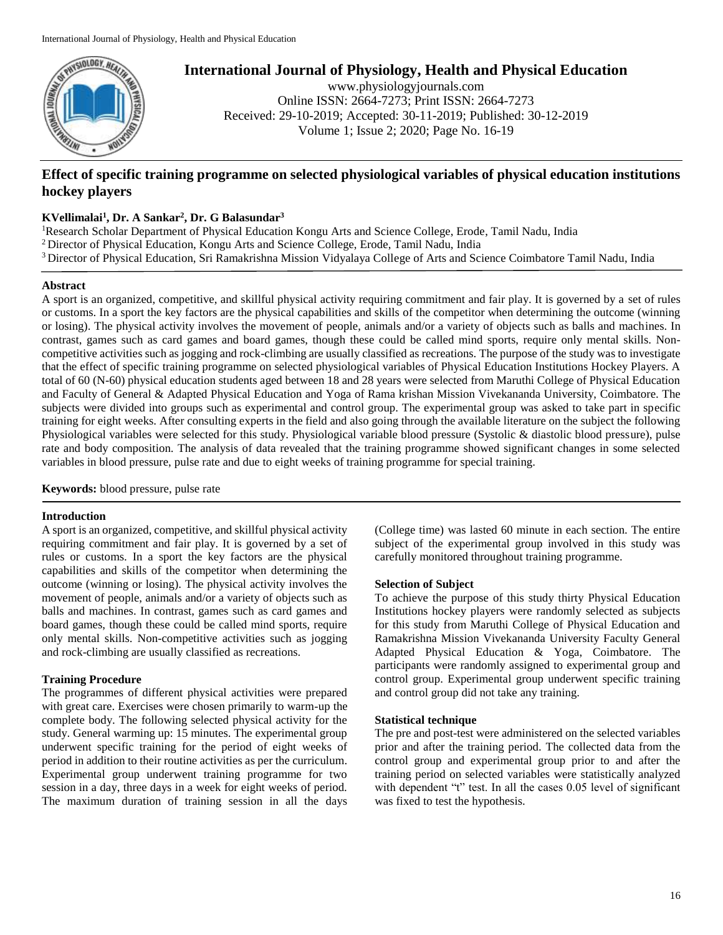

# **International Journal of Physiology, Health and Physical Education**

www.physiologyjournals.com Online ISSN: 2664-7273; Print ISSN: 2664-7273 Received: 29-10-2019; Accepted: 30-11-2019; Published: 30-12-2019 Volume 1; Issue 2; 2020; Page No. 16-19

## **Effect of specific training programme on selected physiological variables of physical education institutions hockey players**

## **KVellimalai<sup>1</sup> , Dr. A Sankar<sup>2</sup> , Dr. G Balasundar<sup>3</sup>**

<sup>1</sup>Research Scholar Department of Physical Education Kongu Arts and Science College, Erode, Tamil Nadu, India <sup>2</sup>Director of Physical Education, Kongu Arts and Science College, Erode, Tamil Nadu, India <sup>3</sup> Director of Physical Education, Sri Ramakrishna Mission Vidyalaya College of Arts and Science Coimbatore Tamil Nadu, India

### **Abstract**

A sport is an organized, competitive, and skillful physical activity requiring commitment and fair play. It is governed by a set of rules or customs. In a sport the key factors are the physical capabilities and skills of the competitor when determining the outcome (winning or losing). The physical activity involves the movement of people, animals and/or a variety of objects such as balls and machines. In contrast, games such as card games and board games, though these could be called mind sports, require only mental skills. Noncompetitive activities such as jogging and rock-climbing are usually classified as recreations. The purpose of the study was to investigate that the effect of specific training programme on selected physiological variables of Physical Education Institutions Hockey Players. A total of 60 (N-60) physical education students aged between 18 and 28 years were selected from Maruthi College of Physical Education and Faculty of General & Adapted Physical Education and Yoga of Rama krishan Mission Vivekananda University, Coimbatore. The subjects were divided into groups such as experimental and control group. The experimental group was asked to take part in specific training for eight weeks. After consulting experts in the field and also going through the available literature on the subject the following Physiological variables were selected for this study. Physiological variable blood pressure (Systolic & diastolic blood pressure), pulse rate and body composition. The analysis of data revealed that the training programme showed significant changes in some selected variables in blood pressure, pulse rate and due to eight weeks of training programme for special training.

**Keywords:** blood pressure, pulse rate

#### **Introduction**

A sport is an organized, competitive, and skillful physical activity requiring commitment and fair play. It is governed by a set of rules or customs. In a sport the key factors are the physical capabilities and skills of the competitor when determining the outcome (winning or losing). The physical activity involves the movement of people, animals and/or a variety of objects such as balls and machines. In contrast, games such as card games and board games, though these could be called mind sports, require only mental skills. Non-competitive activities such as jogging and rock-climbing are usually classified as recreations.

### **Training Procedure**

The programmes of different physical activities were prepared with great care. Exercises were chosen primarily to warm-up the complete body. The following selected physical activity for the study. General warming up: 15 minutes. The experimental group underwent specific training for the period of eight weeks of period in addition to their routine activities as per the curriculum. Experimental group underwent training programme for two session in a day, three days in a week for eight weeks of period. The maximum duration of training session in all the days

(College time) was lasted 60 minute in each section. The entire subject of the experimental group involved in this study was carefully monitored throughout training programme.

### **Selection of Subject**

To achieve the purpose of this study thirty Physical Education Institutions hockey players were randomly selected as subjects for this study from Maruthi College of Physical Education and Ramakrishna Mission Vivekananda University Faculty General Adapted Physical Education & Yoga, Coimbatore. The participants were randomly assigned to experimental group and control group. Experimental group underwent specific training and control group did not take any training.

### **Statistical technique**

The pre and post-test were administered on the selected variables prior and after the training period. The collected data from the control group and experimental group prior to and after the training period on selected variables were statistically analyzed with dependent "t" test. In all the cases 0.05 level of significant was fixed to test the hypothesis.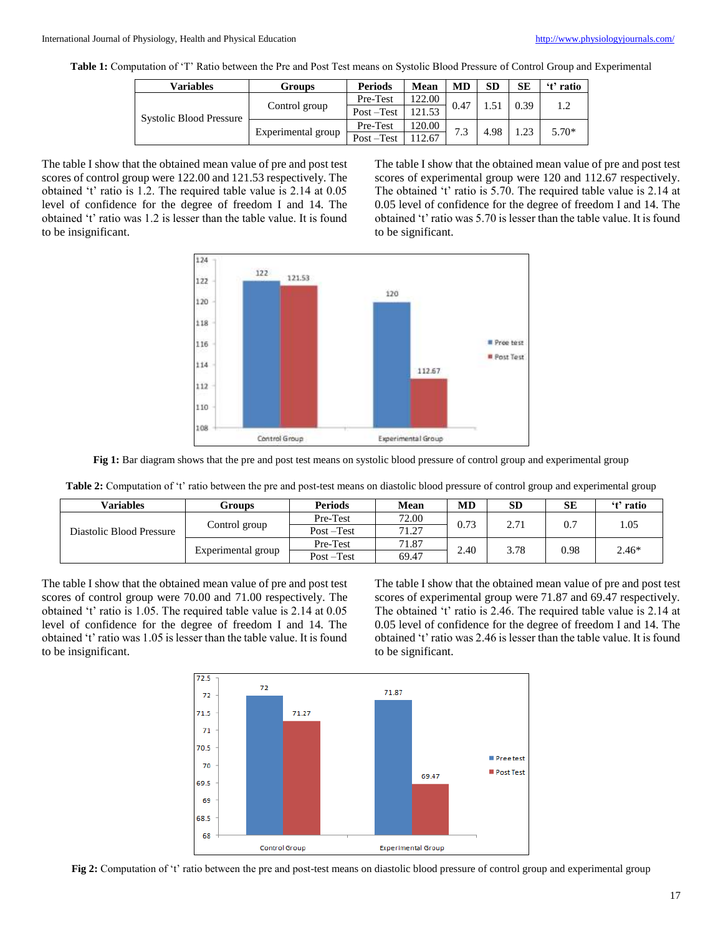**Table 1:** Computation of 'T' Ratio between the Pre and Post Test means on Systolic Blood Pressure of Control Group and Experimental

| Variables                      | Groups             | <b>Periods</b> | Mean   | MD   | <b>SD</b> | SE   | 't' ratio |
|--------------------------------|--------------------|----------------|--------|------|-----------|------|-----------|
| <b>Systolic Blood Pressure</b> | Control group      | Pre-Test       | 122.00 | 0.47 |           | 0.39 |           |
|                                |                    | Post-Test      | 121.53 |      |           |      |           |
|                                | Experimental group | Pre-Test       | 120.00 | 7.3  | 4.98      | 1.23 | $5.70*$   |
|                                |                    | Post-Test      | 112.67 |      |           |      |           |

The table I show that the obtained mean value of pre and post test scores of control group were 122.00 and 121.53 respectively. The obtained 't' ratio is 1.2. The required table value is 2.14 at 0.05 level of confidence for the degree of freedom I and 14. The obtained 't' ratio was 1.2 is lesser than the table value. It is found to be insignificant.

The table I show that the obtained mean value of pre and post test scores of experimental group were 120 and 112.67 respectively. The obtained 't' ratio is 5.70. The required table value is 2.14 at 0.05 level of confidence for the degree of freedom I and 14. The obtained 't' ratio was 5.70 is lesser than the table value. It is found to be significant.



**Fig 1:** Bar diagram shows that the pre and post test means on systolic blood pressure of control group and experimental group

| Table 2: Computation of 't' ratio between the pre and post-test means on diastolic blood pressure of control group and experimental group |  |  |  |  |  |  |
|-------------------------------------------------------------------------------------------------------------------------------------------|--|--|--|--|--|--|
|-------------------------------------------------------------------------------------------------------------------------------------------|--|--|--|--|--|--|

| <b>Variables</b>         | Groups             | <b>Periods</b> | Mean  | MD   | <b>SD</b> | SЕ   | 't' ratio |
|--------------------------|--------------------|----------------|-------|------|-----------|------|-----------|
| Diastolic Blood Pressure | Control group      | Pre-Test       | 72.00 | 0.73 | 2.71      | 0.7  | 1.05      |
|                          |                    | $Post - Test$  | 71.27 |      |           |      |           |
|                          | Experimental group | Pre-Test       | 71.87 | 2.40 | 3.78      | 0.98 | $2.46*$   |
|                          |                    | $Post - Test$  | 69.47 |      |           |      |           |

The table I show that the obtained mean value of pre and post test scores of control group were 70.00 and 71.00 respectively. The obtained 't' ratio is 1.05. The required table value is 2.14 at 0.05 level of confidence for the degree of freedom I and 14. The obtained 't' ratio was 1.05 is lesser than the table value. It is found to be insignificant.

The table I show that the obtained mean value of pre and post test scores of experimental group were 71.87 and 69.47 respectively. The obtained 't' ratio is 2.46. The required table value is 2.14 at 0.05 level of confidence for the degree of freedom I and 14. The obtained 't' ratio was 2.46 is lesser than the table value. It is found to be significant.



**Fig 2:** Computation of 't' ratio between the pre and post-test means on diastolic blood pressure of control group and experimental group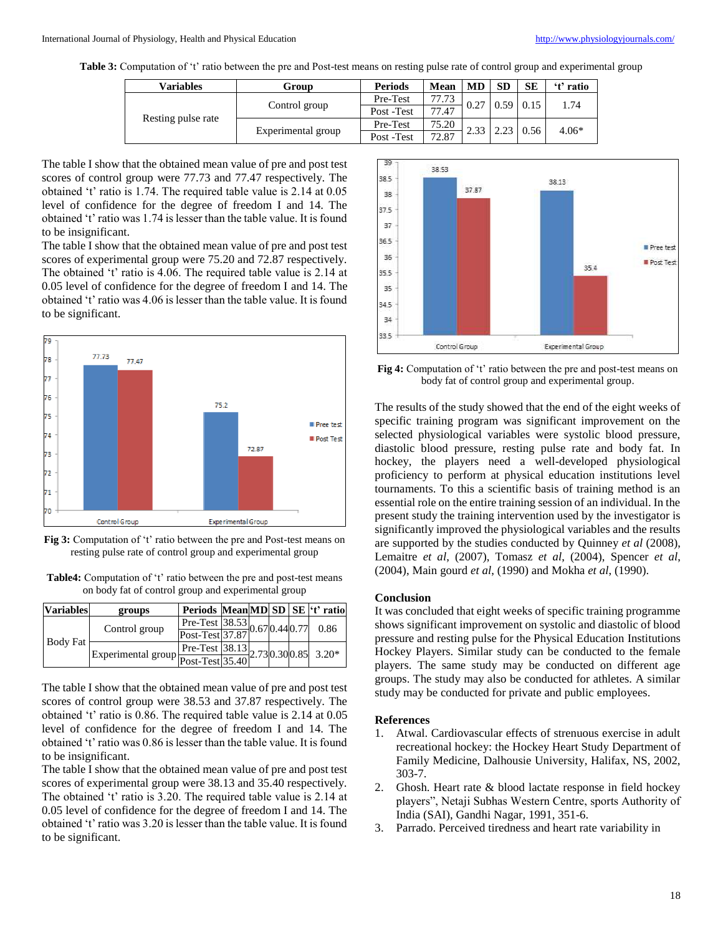**Table 3:** Computation of 't' ratio between the pre and Post-test means on resting pulse rate of control group and experimental group

| Variables          | Group              | <b>Periods</b> | Mean  | MD   | <b>SD</b> | <b>SE</b> | 't' ratio |
|--------------------|--------------------|----------------|-------|------|-----------|-----------|-----------|
| Resting pulse rate | Control group      | Pre-Test       | 77.73 | 0.27 | 0.59      | 0.15      | 1.74      |
|                    |                    | Post -Test     | 77.47 |      |           |           |           |
|                    | Experimental group | Pre-Test       | 75.20 | 2.33 | 2.23      | 0.56      | $4.06*$   |
|                    |                    | Post -Test     | 72.87 |      |           |           |           |

The table I show that the obtained mean value of pre and post test scores of control group were 77.73 and 77.47 respectively. The obtained 't' ratio is 1.74. The required table value is 2.14 at 0.05 level of confidence for the degree of freedom I and 14. The obtained 't' ratio was 1.74 is lesser than the table value. It is found to be insignificant.

The table I show that the obtained mean value of pre and post test scores of experimental group were 75.20 and 72.87 respectively. The obtained 't' ratio is 4.06. The required table value is 2.14 at 0.05 level of confidence for the degree of freedom I and 14. The obtained 't' ratio was 4.06 is lesser than the table value. It is found to be significant.



**Fig 3:** Computation of 't' ratio between the pre and Post-test means on resting pulse rate of control group and experimental group

| <b>Table4:</b> Computation of 't' ratio between the pre and post-test means |
|-----------------------------------------------------------------------------|
| on body fat of control group and experimental group                         |

| <b>Variables</b> | groups                                                                                             | Periods MeanMD SD SE 't' ratio                          |  |  |  |      |
|------------------|----------------------------------------------------------------------------------------------------|---------------------------------------------------------|--|--|--|------|
| Body Fat         | Control group                                                                                      | Pre-Test $38.53$ 0.67 0.44 0.77<br>Post-Test 37.87 0.67 |  |  |  | 0.86 |
|                  |                                                                                                    |                                                         |  |  |  |      |
|                  | Experimental group $\frac{\text{Pre-Test}   38.13}{\text{Post-Test}   35.40}$ 2.73 0.30 0.85 3.20* |                                                         |  |  |  |      |
|                  |                                                                                                    |                                                         |  |  |  |      |

The table I show that the obtained mean value of pre and post test scores of control group were 38.53 and 37.87 respectively. The obtained 't' ratio is 0.86. The required table value is 2.14 at 0.05 level of confidence for the degree of freedom I and 14. The obtained 't' ratio was 0.86 is lesser than the table value. It is found to be insignificant.

The table I show that the obtained mean value of pre and post test scores of experimental group were 38.13 and 35.40 respectively. The obtained 't' ratio is 3.20. The required table value is 2.14 at 0.05 level of confidence for the degree of freedom I and 14. The obtained 't' ratio was 3.20 is lesser than the table value. It is found to be significant.



**Fig 4:** Computation of 't' ratio between the pre and post-test means on body fat of control group and experimental group.

The results of the study showed that the end of the eight weeks of specific training program was significant improvement on the selected physiological variables were systolic blood pressure, diastolic blood pressure, resting pulse rate and body fat. In hockey, the players need a well-developed physiological proficiency to perform at physical education institutions level tournaments. To this a scientific basis of training method is an essential role on the entire training session of an individual. In the present study the training intervention used by the investigator is significantly improved the physiological variables and the results are supported by the studies conducted by Quinney *et al* (2008), Lemaitre *et al*, (2007), Tomasz *et al*, (2004), Spencer *et al*, (2004), Main gourd *et al*, (1990) and Mokha *et al*, (1990).

#### **Conclusion**

It was concluded that eight weeks of specific training programme shows significant improvement on systolic and diastolic of blood pressure and resting pulse for the Physical Education Institutions Hockey Players. Similar study can be conducted to the female players. The same study may be conducted on different age groups. The study may also be conducted for athletes. A similar study may be conducted for private and public employees.

#### **References**

- 1. Atwal. Cardiovascular effects of strenuous exercise in adult recreational hockey: the Hockey Heart Study Department of Family Medicine, Dalhousie University, Halifax, NS, 2002, 303-7.
- 2. Ghosh. Heart rate & blood lactate response in field hockey players", Netaji Subhas Western Centre, sports Authority of India (SAI), Gandhi Nagar, 1991, 351-6.
- 3. Parrado. Perceived tiredness and heart rate variability in